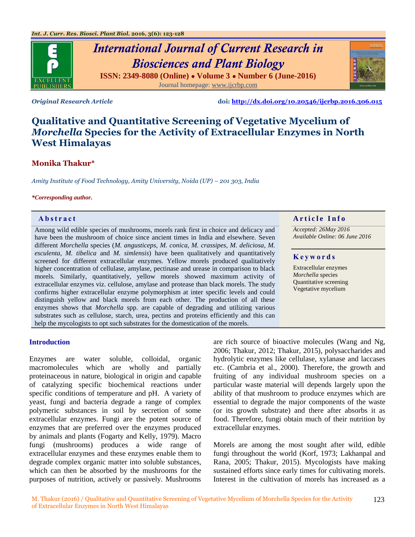

# *International Journal of Current Research in Biosciences and Plant Biology* **ISSN: 2349-8080 (Online) ● Volume 3 ● Number 6 (June-2016)** Journal homepage: [www.ijcrbp.com](http://www.ijcrbp.com/)

*Original Research Article* **doi:<http://dx.doi.org/10.20546/ijcrbp.2016.306.015>**

# **Qualitative and Quantitative Screening of Vegetative Mycelium of**  *Morchella* **Species for the Activity of Extracellular Enzymes in North West Himalayas**

# **Monika Thakur\***

*Amity Institute of Food Technology, Amity University, Noida (UP) – 201 303, India*

#### *\*Corresponding author.*

Among wild edible species of mushrooms, morels rank first in choice and delicacy and have been the mushroom of choice since ancient times in India and elsewhere. Seven different *Morchella* species (*M. angusticeps*, *M. conica, M. crassipes, M. deliciosa*, *M. esculenta, M. tibelica* and *M. simlensis*) have been qualitatively and quantitatively screened for different extracellular enzymes. Yellow morels produced qualitatively higher concentration of cellulase, amylase, pectinase and urease in comparison to black morels. Similarly, quantitatively, yellow morels showed maximum activity of extracellular enzymes viz. cellulose, amylase and protease than black morels. The study confirms higher extracellular enzyme polymorphism at inter specific levels and could distinguish yellow and black morels from each other. The production of all these enzymes shows that *Morchella* spp. are capable of degrading and utilizing various substrates such as cellulose, starch, urea, pectins and proteins efficiently and this can help the mycologists to opt such substrates for the domestication of the morels.

# **A b s t r a c t A r t i c l e I n f o**

*Accepted: 26May 2016 Available Online: 06 June 2016*

#### **K e y w o r d s**

Extracellular enzymes *Morchella* species Quantitative screening Vegetative mycelium

#### **Introduction**

Enzymes are water soluble, colloidal, organic macromolecules which are wholly and partially proteinaceous in nature, biological in origin and capable of catalyzing specific biochemical reactions under specific conditions of temperature and pH. A variety of yeast, fungi and bacteria degrade a range of complex polymeric substances in soil by secretion of some extracellular enzymes. Fungi are the potent source of enzymes that are preferred over the enzymes produced by animals and plants (Fogarty and Kelly, 1979). Macro fungi (mushrooms) produces a wide range of extracellular enzymes and these enzymes enable them to degrade complex organic matter into soluble substances, which can then be absorbed by the mushrooms for the purposes of nutrition, actively or passively. Mushrooms

are rich source of bioactive molecules (Wang and Ng, 2006; Thakur, 2012; Thakur, 2015), polysaccharides and hydrolytic enzymes like cellulase, xylanase and laccases etc. (Cambria et al., 2000). Therefore, the growth and fruiting of any individual mushroom species on a particular waste material will depends largely upon the ability of that mushroom to produce enzymes which are essential to degrade the major components of the waste (or its growth substrate) and there after absorbs it as food. Therefore, fungi obtain much of their nutrition by extracellular enzymes.

Morels are among the most sought after wild, edible fungi throughout the world (Korf, 1973; Lakhanpal and Rana, 2005; Thakur, 2015). Mycologists have making sustained efforts since early times for cultivating morels. Interest in the cultivation of morels has increased as a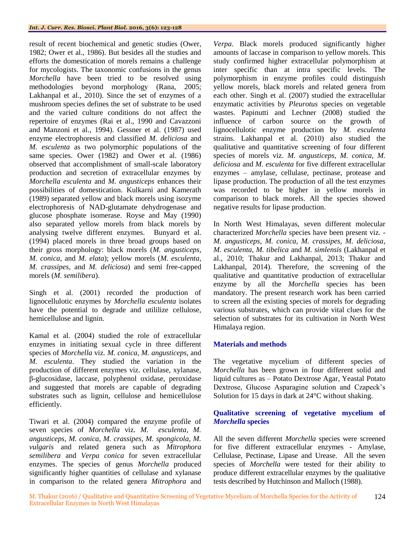result of recent biochemical and genetic studies (Ower, 1982; Ower et al., 1986). But besides all the studies and efforts the domestication of morels remains a challenge for mycologists. The taxonomic confusions in the genus *Morchella* have been tried to be resolved using methodologies beyond morphology (Rana, 2005; Lakhanpal et al., 2010). Since the set of enzymes of a mushroom species defines the set of substrate to be used and the varied culture conditions do not affect the repertoire of enzymes (Rai et al., 1990 and Cavazzoni and Manzoni et al., 1994). Gessner et al. (1987) used enzyme electrophoresis and classified *M. deliciosa* and *M. esculenta* as two polymorphic populations of the same species. Ower (1982) and Ower et al. (1986) observed that accomplishment of small-scale laboratory production and secretion of extracellular enzymes by *Morchella esculenta* and *M. angusticeps* enhances their possibilities of domestication. Kulkarni and Kamerath (1989) separated yellow and black morels using isozyme electrophoresis of NAD-glutamate dehydrogenase and glucose phosphate isomerase. Royse and May (1990) also separated yellow morels from black morels by analysing twelve different enzymes. Bunyard et al. (1994) placed morels in three broad groups based on their gross morphology: black morels (*M. angusticeps, M. conica,* and *M. elata*); yellow morels (*M. esculenta, M. crassipes,* and *M. deliciosa*) and semi free-capped morels (*M. semilibera*).

Singh et al. (2001) recorded the production of lignocellulotic enzymes by *Morchella esculenta* isolates have the potential to degrade and utililize cellulose, hemicellulose and lignin.

Kamal et al. (2004) studied the role of extracellular enzymes in initiating sexual cycle in three different species of *Morchella* viz. *M. conica, M. angusticeps,* and *M. esculenta*. They studied the variation in the production of different enzymes viz. cellulase, xylanase, β-glucosidase, laccase, polyphenol oxidase, peroxidase and suggested that morels are capable of degrading substrates such as lignin, cellulose and hemicellulose efficiently.

Tiwari et al. (2004) compared the enzyme profile of seven species of *Morchella* viz. *M. esculenta, M. angusticeps, M. conica, M. crassipes, M. spongicola, M. vulgaris* and related genera such as *Mitrophora semilibera* and *Verpa conica* for seven extracellular enzymes. The species of genus *Morchella* produced significantly higher quantities of cellulase and xylanase in comparison to the related genera *Mitrophora* and

*Verpa*. Black morels produced significantly higher amounts of laccase in comparison to yellow morels. This study confirmed higher extracellular polymorphism at inter specific than at intra specific levels. The polymorphism in enzyme profiles could distinguish yellow morels, black morels and related genera from each other. Singh et al. (2007) studied the extracellular enzymatic activities by *Pleurotus* species on vegetable wastes. Papinutti and Lechner (2008) studied the influence of carbon source on the growth of lignocellulotic enzyme production by *M. esculenta* strains. Lakhanpal et al. (2010) also studied the qualitative and quantitative screening of four different species of morels viz. *M. angusticeps, M. conica, M. deliciosa* and *M. esculenta* for five different extracellular enzymes – amylase, cellulase, pectinase, protease and lipase production. The production of all the test enzymes was recorded to be higher in yellow morels in comparison to black morels. All the species showed negative results for lipase production.

In North West Himalayas, seven different molecular characterized *Morchella* species have been present viz. - *M. angusticeps*, *M. conica, M. crassipes, M. deliciosa*, *M. esculenta, M. tibelica* and *M. simlensis* (Lakhanpal et al., 2010; Thakur and Lakhanpal, 2013; Thakur and Lakhanpal, 2014). Therefore, the screening of the qualitative and quantitative production of extracellular enzyme by all the *Morchella* species has been mandatory. The present research work has been carried to screen all the existing species of morels for degrading various substrates, which can provide vital clues for the selection of substrates for its cultivation in North West Himalaya region.

### **Materials and methods**

The vegetative mycelium of different species of *Morchella* has been grown in four different solid and liquid cultures as – Potato Dextrose Agar, Yeastal Potato Dextrose, Glucose Asparagine solution and Czapeck's Solution for 15 days in dark at 24°C without shaking.

### **Qualitative screening of vegetative mycelium of**  *Morchella* **species**

All the seven different *Morchella* species were screened for five different extracellular enzymes - Amylase, Cellulase, Pectinase, Lipase and Urease. All the seven species of *Morchella* were tested for their ability to produce different extracellular enzymes by the qualitative tests described by Hutchinson and Malloch (1988).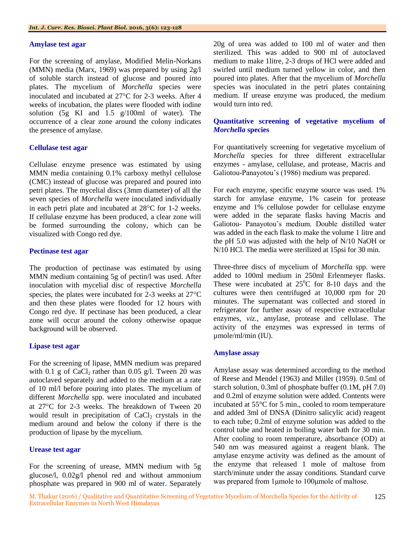#### **Amylase test agar**

For the screening of amylase, Modified Melin-Norkans (MMN) media (Marx, 1969) was prepared by using 2g/l of soluble starch instead of glucose and poured into plates. The mycelium of *Morchella* species were inoculated and incubated at  $27^{\circ}$ C for 2-3 weeks. After 4 weeks of incubation, the plates were flooded with iodine solution (5g KI and 1.5 g/100ml of water). The occurrence of a clear zone around the colony indicates the presence of amylase.

#### **Cellulase test agar**

Cellulase enzyme presence was estimated by using MMN media containing 0.1% carboxy methyl cellulose (CMC) instead of glucose was prepared and poured into petri plates. The mycelial discs (3mm diameter) of all the seven species of *Morchella* were inoculated individually in each petri plate and incubated at  $28^{\circ}$ C for 1-2 weeks. If cellulase enzyme has been produced, a clear zone will be formed surrounding the colony, which can be visualized with Congo red dye.

#### **Pectinase test agar**

The production of pectinase was estimated by using MMN medium containing 5g of pectin/l was used. After inoculation with mycelial disc of respective *Morchella*  species, the plates were incubated for  $2-3$  weeks at  $27^{\circ}$ C and then these plates were flooded for 12 hours with Congo red dye. If pectinase has been produced, a clear zone will occur around the colony otherwise opaque background will be observed.

#### **Lipase test agar**

For the screening of lipase, MMN medium was prepared with 0.1 g of  $CaCl<sub>2</sub>$  rather than 0.05 g/l. Tween 20 was autoclaved separately and added to the medium at a rate of 10 ml/l before pouring into plates. The mycelium of different *Morchella* spp. were inoculated and incubated at 27°C for 2-3 weeks. The breakdown of Tween 20 would result in precipitation of  $CaCl<sub>2</sub>$  crystals in the medium around and below the colony if there is the production of lipase by the mycelium.

#### **Urease test agar**

For the screening of urease, MMN medium with 5g glucose/l, 0.02g/l phenol red and without ammonium phosphate was prepared in 900 ml of water. Separately

20g of urea was added to 100 ml of water and then sterilized. This was added to 900 ml of autoclaved medium to make 1litre, 2-3 drops of HCl were added and swirled until medium turned yellow in color, and then poured into plates. After that the mycelium of *Morchella* species was inoculated in the petri plates containing medium. If urease enzyme was produced, the medium would turn into red.

#### **Quantitative screening of vegetative mycelium of**  *Morchella* **species**

For quantitatively screening for vegetative mycelium of *Morchella* species for three different extracellular enzymes - amylase, cellulase, and protease, Macris and Galiotou-Panayotou's (1986) medium was prepared.

For each enzyme, specific enzyme source was used. 1% starch for amylase enzyme, 1% casein for protease enzyme and 1% cellulose powder for cellulase enzyme were added in the separate flasks having Macris and Galiotou- Panayotou's medium. Double distilled water was added in the each flask to make the volume 1 litre and the pH 5.0 was adjusted with the help of N/10 NaOH or N/10 HCl. The media were sterilized at 15psi for 30 min.

Three-three discs of mycelium of *Morchella* spp. were added to 100ml medium in 250ml Erlenmeyer flasks. These were incubated at  $25^{\circ}$ C for 8-10 days and the cultures were then centrifuged at 10,000 rpm for 20 minutes. The supernatant was collected and stored in refrigerator for further assay of respective extracellular enzymes, *viz.*, amylase, protease and cellulase. The activity of the enzymes was expressed in terms of µmole/ml/min (IU).

#### **Amylase assay**

Amylase assay was determined according to the method of Reese and Mendel (1963) and Miller (1959). 0.5ml of starch solution, 0.3ml of phosphate buffer (0.1M, pH 7.0) and 0.2ml of enzyme solution were added. Contents were incubated at 55°C for 5 min., cooled to room temperature and added 3ml of DNSA (Dinitro salicylic acid) reagent to each tube; 0.2ml of enzyme solution was added to the control tube and heated in boiling water bath for 30 min. After cooling to room temperature, absorbance (OD) at 540 nm was measured against a reagent blank. The amylase enzyme activity was defined as the amount of the enzyme that released 1 mole of maltose from starch/minute under the assay conditions. Standard curve was prepared from 1μmole to 100μmole of maltose.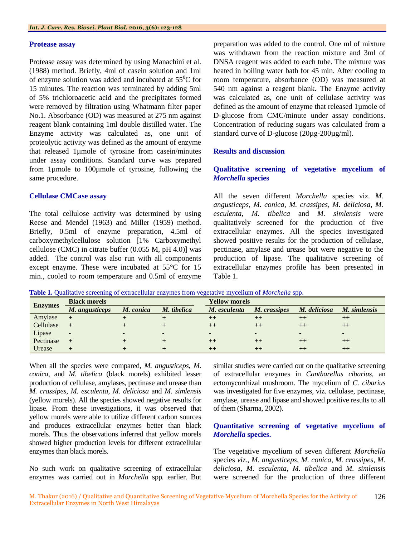#### **Protease assay**

Protease assay was determined by using Manachini et al. (1988) method. Briefly, 4ml of casein solution and 1ml of enzyme solution was added and incubated at  $55^{\circ}$ C for 15 minutes. The reaction was terminated by adding 5ml of 5% trichloroacetic acid and the precipitates formed were removed by filtration using Whatmann filter paper No.1. Absorbance (OD) was measured at 275 nm against reagent blank containing 1ml double distilled water. The Enzyme activity was calculated as, one unit of proteolytic activity was defined as the amount of enzyme that released 1µmole of tyrosine from casein/minutes under assay conditions. Standard curve was prepared from 1µmole to 100µmole of tyrosine, following the same procedure.

#### **Cellulase CMCase assay**

The total cellulose activity was determined by using Reese and Mendel (1963) and Miller (1959) method. Briefly, 0.5ml of enzyme preparation, 4.5ml of carboxymethylcellulose solution [1% Carboxymethyl cellulose (CMC) in citrate buffer (0.055 M, pH 4.0)] was added. The control was also run with all components except enzyme. These were incubated at 55°C for 15 min., cooled to room temperature and 0.5ml of enzyme preparation was added to the control. One ml of mixture was withdrawn from the reaction mixture and 3ml of DNSA reagent was added to each tube. The mixture was heated in boiling water bath for 45 min. After cooling to room temperature, absorbance (OD) was measured at 540 nm against a reagent blank. The Enzyme activity was calculated as, one unit of cellulase activity was defined as the amount of enzyme that released 1µmole of D-glucose from CMC/minute under assay conditions. Concentration of reducing sugars was calculated from a standard curve of D-glucose (20µg-200µg/ml).

#### **Results and discussion**

## **Qualitative screening of vegetative mycelium of**  *Morchella* **species**

All the seven different *Morchella* species viz. *M. angusticeps*, *M. conica, M. crassipes, M. deliciosa*, *M. esculenta, M. tibelica* and *M. simlensis* were qualitatively screened for the production of five extracellular enzymes. All the species investigated showed positive results for the production of cellulase, pectinase, amylase and urease but were negative to the production of lipase. The qualitative screening of extracellular enzymes profile has been presented in Table 1.

| <b>Enzymes</b> | <b>Black morels</b> |           |             | <b>Yellow morels</b> |              |              |              |
|----------------|---------------------|-----------|-------------|----------------------|--------------|--------------|--------------|
|                | M. angusticeps      | M. conica | M. tibelica | M. esculenta         | M. crassipes | M. deliciosa | M. simlensis |
| Amylase        | $\pm$               |           |             |                      |              |              |              |
| Cellulase      | $+$                 |           |             | $^{\mathrm{+}}$      | ++           |              |              |
| Lipase         | $\blacksquare$      |           |             |                      |              |              |              |
| Pectinase      |                     |           |             |                      |              |              |              |

Urease **+ + + ++ ++ ++ ++**

**Table 1.** Qualitative screening of extracellular enzymes from vegetative mycelium of *Morchella* spp.

When all the species were compared, *M. angusticeps, M. conica,* and *M. tibelica* (black morels) exhibited lesser production of cellulase, amylases, pectinase and urease than *M. crassipes*, *M. esculenta, M. deliciosa* and *M. simlensis* (yellow morels). All the species showed negative results for lipase. From these investigations, it was observed that yellow morels were able to utilize different carbon sources and produces extracellular enzymes better than black morels*.* Thus the observations inferred that yellow morels showed higher production levels for different extracellular enzymes than black morels.

No such work on qualitative screening of extracellular enzymes was carried out in *Morchella* spp*.* earlier. But similar studies were carried out on the qualitative screening of extracellular enzymes in *Cantharellus cibarius,* an ectomycorrhizal mushroom. The mycelium of *C. cibarius* was investigated for five enzymes, viz. cellulase, pectinase, amylase, urease and lipase and showed positive results to all of them (Sharma, 2002).

#### **Quantitative screening of vegetative mycelium of**  *Morchella* **species.**

The vegetative mycelium of seven different *Morchella*  species *viz.*, *M. angusticeps*, *M. conica, M. crassipes, M. deliciosa*, *M. esculenta, M. tibelica* and *M. simlensis*  were screened for the production of three different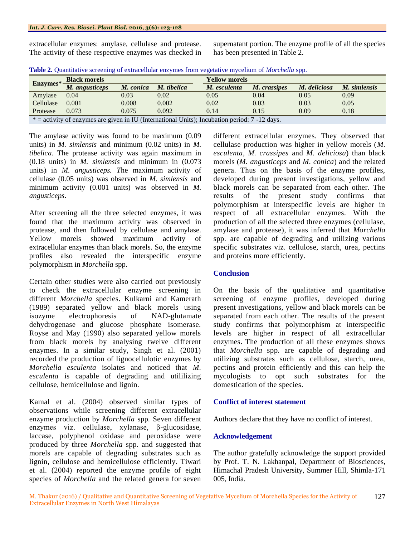extracellular enzymes: amylase, cellulase and protease. The activity of these respective enzymes was checked in supernatant portion. The enzyme profile of all the species has been presented in Table 2.

|--|

| $Enzymes*$                                                                                      | <b>Black morels</b> |           |             | Yellow morels |              |              |              |  |  |  |
|-------------------------------------------------------------------------------------------------|---------------------|-----------|-------------|---------------|--------------|--------------|--------------|--|--|--|
|                                                                                                 | M. angusticeps      | M. conica | M. tibelica | M. esculenta  | M. crassipes | M. deliciosa | M. simlensis |  |  |  |
| Amylase                                                                                         | 0.04                | 0.03      | 0.02        | 0.05          | 0.04         | 0.05         | 0.09         |  |  |  |
| Cellulase                                                                                       | 0.001               | 0.008     | 0.002       | 0.02          | 0.03         | 0.03         | 0.05         |  |  |  |
| Protease                                                                                        | 0.073               | 0.075     | 0.092       | 0.14          | 0.15         | 0.09         | 0.18         |  |  |  |
| $*$ = activity of enzymes are given in IU (International Units); Incubation period: 7 -12 days. |                     |           |             |               |              |              |              |  |  |  |

The amylase activity was found to be maximum (0.09 units) in *M. simlensis* and minimum (0.02 units) in *M. tibelica.* The protease activity was again maximum in (0.18 units) in *M. simlensis* and minimum in (0.073 units) in *M. angusticeps. T*he maximum activity of cellulase (0.05 units) was observed in *M. simlensis* and minimum activity (0.001 units) was observed in *M. angusticeps*.

After screening all the three selected enzymes, it was found that the maximum activity was observed in protease, and then followed by cellulase and amylase. Yellow morels showed maximum activity of extracellular enzymes than black morels. So, the enzyme profiles also revealed the interspecific enzyme polymorphism in *Morchella* spp.

Certain other studies were also carried out previously to check the extracellular enzyme screening in different *Morchella* species. Kulkarni and Kamerath (1989) separated yellow and black morels using isozyme electrophoresis of NAD-glutamate dehydrogenase and glucose phosphate isomerase. Royse and May (1990) also separated yellow morels from black morels by analysing twelve different enzymes. In a similar study, Singh et al. (2001) recorded the production of lignocellulotic enzymes by *Morchella esculenta* isolates and noticed that *M. esculenta* is capable of degrading and utililizing cellulose, hemicellulose and lignin.

Kamal et al. (2004) observed similar types of observations while screening different extracellular enzyme production by *Morchella* spp*.* Seven different enzymes viz. cellulase, xylanase, β-glucosidase, laccase, polyphenol oxidase and peroxidase were produced by three *Morchella* spp. and suggested that morels are capable of degrading substrates such as lignin, cellulose and hemicellulose efficiently. Tiwari et al. (2004) reported the enzyme profile of eight species of *Morchella* and the related genera for seven

different extracellular enzymes. They observed that cellulase production was higher in yellow morels (*M. esculenta, M. crassipes* and *M. deliciosa*) than black morels (*M. angusticeps* and *M. conica*) and the related genera. Thus on the basis of the enzyme profiles, developed during present investigations, yellow and black morels can be separated from each other. The results of the present study confirms that polymorphism at interspecific levels are higher in respect of all extracellular enzymes. With the production of all the selected three enzymes (cellulase, amylase and protease), it was inferred that *Morchella*  spp. are capable of degrading and utilizing various specific substrates viz. cellulose, starch, urea, pectins and proteins more efficiently.

### **Conclusion**

On the basis of the qualitative and quantitative screening of enzyme profiles, developed during present investigations, yellow and black morels can be separated from each other. The results of the present study confirms that polymorphism at interspecific levels are higher in respect of all extracellular enzymes. The production of all these enzymes shows that *Morchella* spp. are capable of degrading and utilizing substrates such as cellulose, starch, urea, pectins and protein efficiently and this can help the mycologists to opt such substrates for the domestication of the species.

### **Conflict of interest statement**

Authors declare that they have no conflict of interest.

# **Acknowledgement**

The author gratefully acknowledge the support provided by Prof. T. N. Lakhanpal, Department of Biosciences, Himachal Pradesh University, Summer Hill, Shimla-171 005, India.